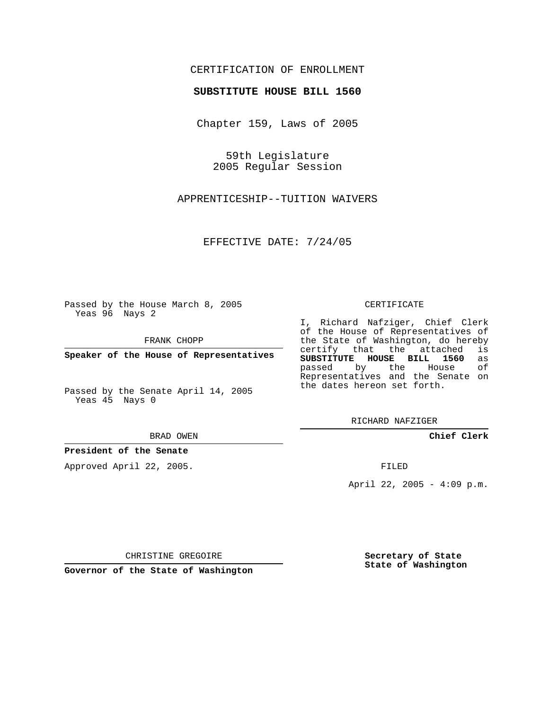## CERTIFICATION OF ENROLLMENT

### **SUBSTITUTE HOUSE BILL 1560**

Chapter 159, Laws of 2005

59th Legislature 2005 Regular Session

APPRENTICESHIP--TUITION WAIVERS

EFFECTIVE DATE: 7/24/05

Passed by the House March 8, 2005 Yeas 96 Nays 2

FRANK CHOPP

**Speaker of the House of Representatives**

Passed by the Senate April 14, 2005 Yeas 45 Nays 0

#### BRAD OWEN

### **President of the Senate**

Approved April 22, 2005.

#### CERTIFICATE

I, Richard Nafziger, Chief Clerk of the House of Representatives of the State of Washington, do hereby<br>certify that the attached is certify that the attached **SUBSTITUTE HOUSE BILL 1560** as passed by the Representatives and the Senate on the dates hereon set forth.

RICHARD NAFZIGER

**Chief Clerk**

FILED

April 22, 2005 - 4:09 p.m.

CHRISTINE GREGOIRE

**Governor of the State of Washington**

**Secretary of State State of Washington**